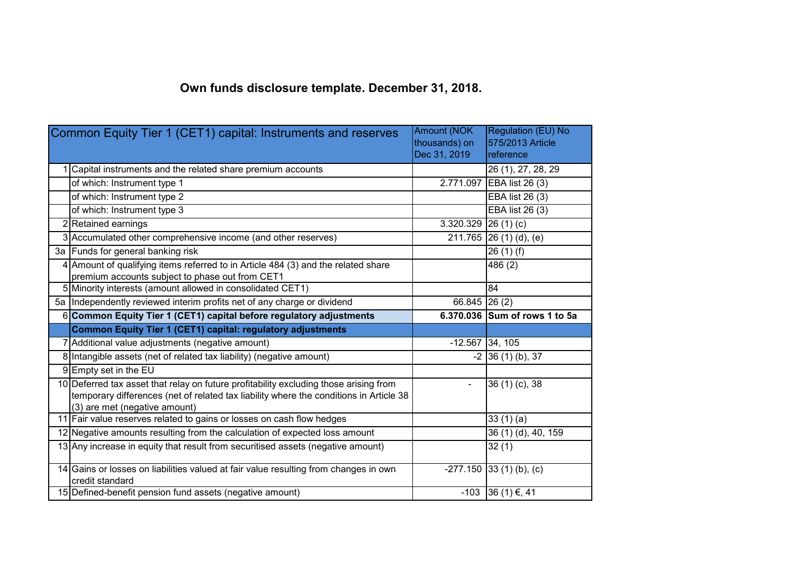## **Own funds disclosure template. December 31, 2018.**

| Common Equity Tier 1 (CET1) capital: Instruments and reserves |                                                                                                                                                                                                                  | <b>Amount (NOK</b><br>thousands) on | Regulation (EU) No<br>575/2013 Article |
|---------------------------------------------------------------|------------------------------------------------------------------------------------------------------------------------------------------------------------------------------------------------------------------|-------------------------------------|----------------------------------------|
|                                                               |                                                                                                                                                                                                                  | Dec 31, 2019                        | reference                              |
|                                                               | Capital instruments and the related share premium accounts                                                                                                                                                       |                                     | $\overline{26}$ (1), 27, 28, 29        |
|                                                               | of which: Instrument type 1                                                                                                                                                                                      |                                     | 2.771.097 EBA list 26 (3)              |
|                                                               | of which: Instrument type 2                                                                                                                                                                                      |                                     | EBA list 26 (3)                        |
|                                                               | of which: Instrument type 3                                                                                                                                                                                      |                                     | <b>EBA</b> list 26 (3)                 |
|                                                               | 2 Retained earnings                                                                                                                                                                                              | 3.320.329 26 (1) (c)                |                                        |
|                                                               | 3 Accumulated other comprehensive income (and other reserves)                                                                                                                                                    |                                     | 211.765 26 (1) (d), (e)                |
|                                                               | 3a Funds for general banking risk                                                                                                                                                                                |                                     | 26(1)(f)                               |
|                                                               | 4 Amount of qualifying items referred to in Article 484 (3) and the related share<br>premium accounts subject to phase out from CET1                                                                             |                                     | 486 (2)                                |
|                                                               | 5 Minority interests (amount allowed in consolidated CET1)                                                                                                                                                       |                                     | 84                                     |
|                                                               | 5a Independently reviewed interim profits net of any charge or dividend                                                                                                                                          | $66.845$ 26 (2)                     |                                        |
|                                                               | 6 Common Equity Tier 1 (CET1) capital before regulatory adjustments                                                                                                                                              |                                     | 6.370.036 Sum of rows 1 to 5a          |
|                                                               |                                                                                                                                                                                                                  |                                     |                                        |
|                                                               | <b>Common Equity Tier 1 (CET1) capital: regulatory adjustments</b>                                                                                                                                               |                                     |                                        |
|                                                               | 7 Additional value adjustments (negative amount)                                                                                                                                                                 | $-12.567$ 34, 105                   |                                        |
|                                                               | 8 Intangible assets (net of related tax liability) (negative amount)                                                                                                                                             |                                     | $-2$ 36 (1) (b), 37                    |
|                                                               | 9Empty set in the EU                                                                                                                                                                                             |                                     |                                        |
|                                                               | 10 Deferred tax asset that relay on future profitability excluding those arising from<br>temporary differences (net of related tax liability where the conditions in Article 38<br>(3) are met (negative amount) | $\blacksquare$                      | $36(1)(c)$ , 38                        |
|                                                               | 11 Fair value reserves related to gains or losses on cash flow hedges                                                                                                                                            |                                     | 33(1)(a)                               |
|                                                               | 12 Negative amounts resulting from the calculation of expected loss amount                                                                                                                                       |                                     | 36 (1) (d), 40, 159                    |
|                                                               | 13 Any increase in equity that result from securitised assets (negative amount)                                                                                                                                  |                                     | 32(1)                                  |
|                                                               | 14 Gains or losses on liabilities valued at fair value resulting from changes in own<br>credit standard                                                                                                          |                                     | $-277.150$ 33 (1) (b), (c)             |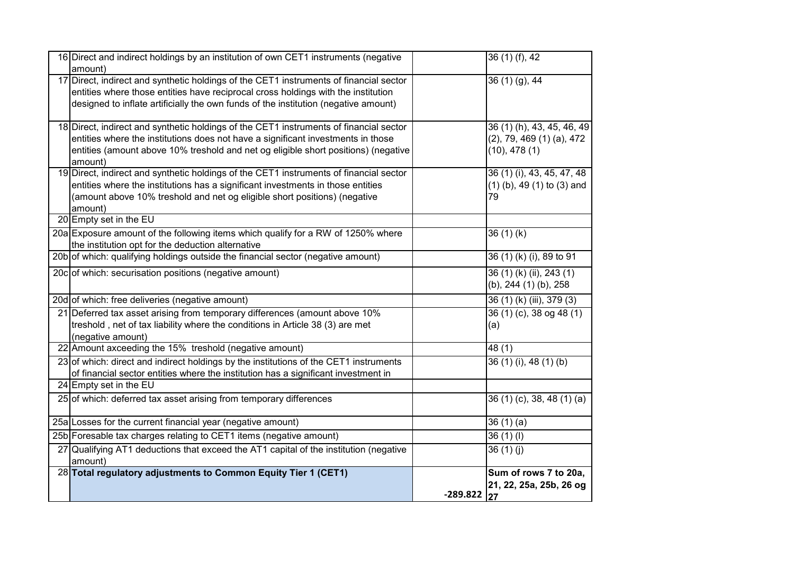| 16 Direct and indirect holdings by an institution of own CET1 instruments (negative<br>amount)                                                                                                                                                                              |            | 36(1)(f), 42                                                               |
|-----------------------------------------------------------------------------------------------------------------------------------------------------------------------------------------------------------------------------------------------------------------------------|------------|----------------------------------------------------------------------------|
| 17 Direct, indirect and synthetic holdings of the CET1 instruments of financial sector<br>entities where those entities have reciprocal cross holdings with the institution<br>designed to inflate artificially the own funds of the institution (negative amount)          |            | $36(1)(9)$ , 44                                                            |
| 18 Direct, indirect and synthetic holdings of the CET1 instruments of financial sector<br>entities where the institutions does not have a significant investments in those<br>entities (amount above 10% treshold and net og eligible short positions) (negative<br>amount) |            | 36 (1) (h), 43, 45, 46, 49<br>$(2)$ , 79, 469 (1) (a), 472<br>(10), 478(1) |
| 19 Direct, indirect and synthetic holdings of the CET1 instruments of financial sector<br>entities where the institutions has a significant investments in those entities<br>(amount above 10% treshold and net og eligible short positions) (negative<br>amount)           |            | 36 (1) (i), 43, 45, 47, 48<br>$(1)$ (b), 49 $(1)$ to $(3)$ and<br>79       |
| 20 Empty set in the EU                                                                                                                                                                                                                                                      |            |                                                                            |
| 20a Exposure amount of the following items which qualify for a RW of 1250% where<br>the institution opt for the deduction alternative                                                                                                                                       |            | 36(1)(k)                                                                   |
| 20b of which: qualifying holdings outside the financial sector (negative amount)                                                                                                                                                                                            |            | 36 (1) (k) (i), 89 to 91                                                   |
| 20co of which: securisation positions (negative amount)                                                                                                                                                                                                                     |            | 36 (1) (k) (ii), 243 (1)<br>(b), 244 (1) (b), 258                          |
| 20d of which: free deliveries (negative amount)                                                                                                                                                                                                                             |            | 36 (1) (k) (iii), 379 (3)                                                  |
| 21 Deferred tax asset arising from temporary differences (amount above 10%<br>treshold, net of tax liability where the conditions in Article 38 (3) are met<br>(negative amount)                                                                                            |            | 36 (1) (c), 38 og 48 (1)<br>(a)                                            |
| 22 Amount axceeding the 15% treshold (negative amount)                                                                                                                                                                                                                      |            | 48 (1)                                                                     |
| 23 of which: direct and indirect holdings by the institutions of the CET1 instruments<br>of financial sector entities where the institution has a significant investment in                                                                                                 |            | 36 (1) (i), 48 (1) (b)                                                     |
| 24 Empty set in the EU                                                                                                                                                                                                                                                      |            |                                                                            |
| 25 of which: deferred tax asset arising from temporary differences                                                                                                                                                                                                          |            | 36(1)(c), 38, 48(1)(a)                                                     |
| 25a Losses for the current financial year (negative amount)                                                                                                                                                                                                                 |            | 36(1)(a)                                                                   |
| 25b Foresable tax charges relating to CET1 items (negative amount)                                                                                                                                                                                                          |            | 36(1)(1)                                                                   |
| 27 Qualifying AT1 deductions that exceed the AT1 capital of the institution (negative<br>amount)                                                                                                                                                                            |            | 36(1)(j)                                                                   |
| 28 Total regulatory adjustments to Common Equity Tier 1 (CET1)                                                                                                                                                                                                              | $-289.822$ | Sum of rows 7 to 20a,<br>21, 22, 25a, 25b, 26 og<br>27                     |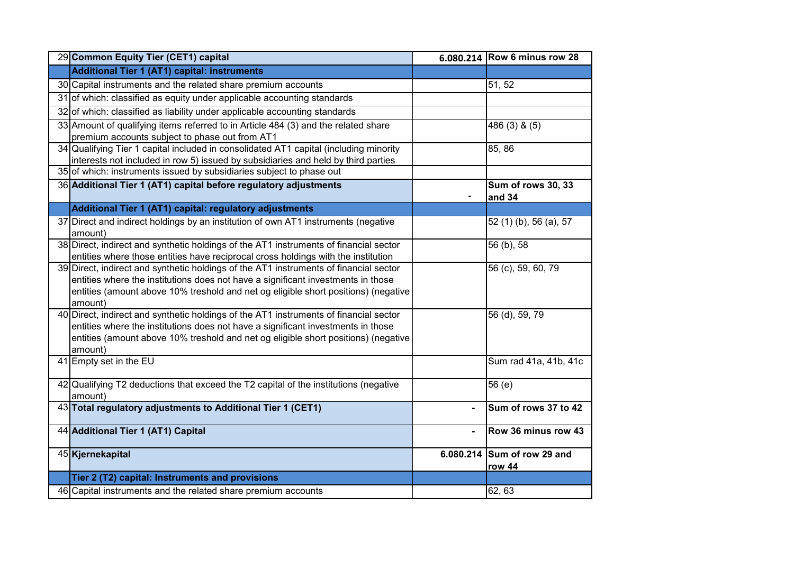| 29 Common Equity Tier (CET1) capital                                                  |                | 6.080.214 Row 6 minus row 28 |
|---------------------------------------------------------------------------------------|----------------|------------------------------|
| Additional Tier 1 (AT1) capital: instruments                                          |                |                              |
| 30 Capital instruments and the related share premium accounts                         |                | 51, 52                       |
| 31 of which: classified as equity under applicable accounting standards               |                |                              |
| 32 of which: classified as liability under applicable accounting standards            |                |                              |
| 33 Amount of qualifying items referred to in Article 484 (3) and the related share    |                | 486 (3) & (5)                |
| premium accounts subject to phase out from AT1                                        |                |                              |
| 34 Qualifying Tier 1 capital included in consolidated AT1 capital (including minority |                | 85, 86                       |
| interests not included in row 5) issued by subsidiaries and held by third parties     |                |                              |
| 35 of which: instruments issued by subsidiaries subject to phase out                  |                |                              |
| 36 Additional Tier 1 (AT1) capital before regulatory adjustments                      |                | Sum of rows 30, 33<br>and 34 |
| Additional Tier 1 (AT1) capital: regulatory adjustments                               |                |                              |
| 37 Direct and indirect holdings by an institution of own AT1 instruments (negative    |                | 52 (1) (b), 56 (a), 57       |
| amount)                                                                               |                |                              |
| 38 Direct, indirect and synthetic holdings of the AT1 instruments of financial sector |                | 56 (b), 58                   |
| entities where those entities have reciprocal cross holdings with the institution     |                |                              |
| 39 Direct, indirect and synthetic holdings of the AT1 instruments of financial sector |                | 56 (c), 59, 60, 79           |
| entities where the institutions does not have a significant investments in those      |                |                              |
| entities (amount above 10% treshold and net og eligible short positions) (negative    |                |                              |
| amount)                                                                               |                |                              |
| 40 Direct, indirect and synthetic holdings of the AT1 instruments of financial sector |                | 56 (d), 59, 79               |
| entities where the institutions does not have a significant investments in those      |                |                              |
| entities (amount above 10% treshold and net og eligible short positions) (negative    |                |                              |
| amount)                                                                               |                |                              |
| 41 Empty set in the EU                                                                |                | Sum rad 41a, 41b, 41c        |
| 42 Qualifying T2 deductions that exceed the T2 capital of the institutions (negative  |                | 56 (e)                       |
| amount)                                                                               |                |                              |
| 43 Total regulatory adjustments to Additional Tier 1 (CET1)                           | $\blacksquare$ | Sum of rows 37 to 42         |
|                                                                                       |                |                              |
| 44 Additional Tier 1 (AT1) Capital                                                    | $\blacksquare$ | Row 36 minus row 43          |
| 45 Kjernekapital                                                                      |                | 6.080.214 Sum of row 29 and  |
|                                                                                       |                | row 44                       |
| Tier 2 (T2) capital: Instruments and provisions                                       |                |                              |
| 46 Capital instruments and the related share premium accounts                         |                | 62, 63                       |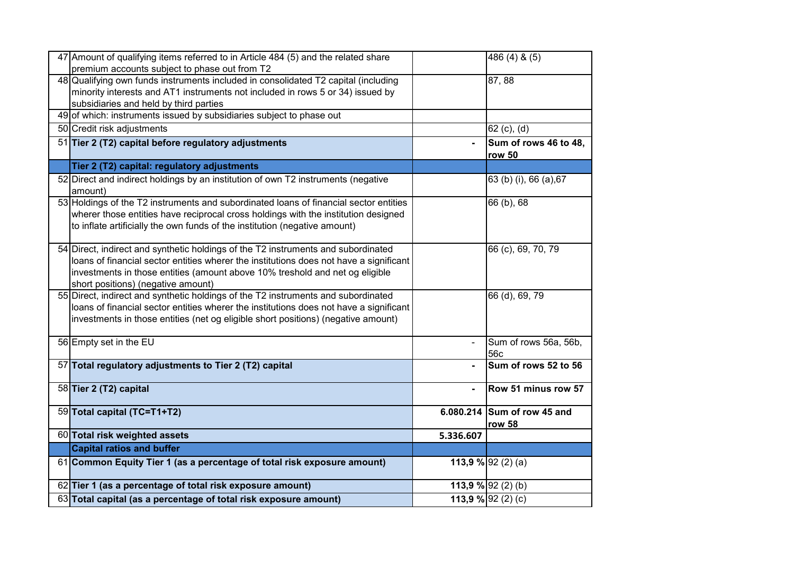| 47 Amount of qualifying items referred to in Article 484 (5) and the related share<br>premium accounts subject to phase out from T2                                                                                                                                                               |           | 486 (4) & (5)                         |
|---------------------------------------------------------------------------------------------------------------------------------------------------------------------------------------------------------------------------------------------------------------------------------------------------|-----------|---------------------------------------|
| 48 Qualifying own funds instruments included in consolidated T2 capital (including<br>minority interests and AT1 instruments not included in rows 5 or 34) issued by<br>subsidiaries and held by third parties                                                                                    |           | 87,88                                 |
| 49 of which: instruments issued by subsidiaries subject to phase out                                                                                                                                                                                                                              |           |                                       |
| 50 Credit risk adjustments                                                                                                                                                                                                                                                                        |           | 62 (c), (d)                           |
| 51 Tier 2 (T2) capital before regulatory adjustments                                                                                                                                                                                                                                              |           | Sum of rows 46 to 48,<br>row 50       |
| Tier 2 (T2) capital: regulatory adjustments                                                                                                                                                                                                                                                       |           |                                       |
| 52 Direct and indirect holdings by an institution of own T2 instruments (negative<br>amount)                                                                                                                                                                                                      |           | 63 (b) (i), 66 (a), 67                |
| 53 Holdings of the T2 instruments and subordinated loans of financial sector entities<br>wherer those entities have reciprocal cross holdings with the institution designed<br>to inflate artificially the own funds of the institution (negative amount)                                         |           | 66 (b), 68                            |
| 54 Direct, indirect and synthetic holdings of the T2 instruments and subordinated<br>loans of financial sector entities wherer the institutions does not have a significant<br>investments in those entities (amount above 10% treshold and net og eligible<br>short positions) (negative amount) |           | 66 (c), 69, 70, 79                    |
| 55 Direct, indirect and synthetic holdings of the T2 instruments and subordinated<br>loans of financial sector entities wherer the institutions does not have a significant<br>investments in those entities (net og eligible short positions) (negative amount)                                  |           | 66 (d), 69, 79                        |
| 56 Empty set in the EU                                                                                                                                                                                                                                                                            |           | Sum of rows 56a, 56b,<br>56c          |
| 57 Total regulatory adjustments to Tier 2 (T2) capital                                                                                                                                                                                                                                            |           | Sum of rows 52 to 56                  |
| 58 Tier 2 (T2) capital                                                                                                                                                                                                                                                                            |           | Row 51 minus row 57                   |
| 59 Total capital (TC=T1+T2)                                                                                                                                                                                                                                                                       |           | 6.080.214 Sum of row 45 and<br>row 58 |
| 60 Total risk weighted assets                                                                                                                                                                                                                                                                     | 5.336.607 |                                       |
| <b>Capital ratios and buffer</b>                                                                                                                                                                                                                                                                  |           |                                       |
| 61 Common Equity Tier 1 (as a percentage of total risk exposure amount)                                                                                                                                                                                                                           |           | 113,9 % 92 (2) (a)                    |
| 62 Tier 1 (as a percentage of total risk exposure amount)                                                                                                                                                                                                                                         |           | 113,9 % 92 (2) (b)                    |
| 63 Total capital (as a percentage of total risk exposure amount)                                                                                                                                                                                                                                  |           | 113,9 % 92 (2) (c)                    |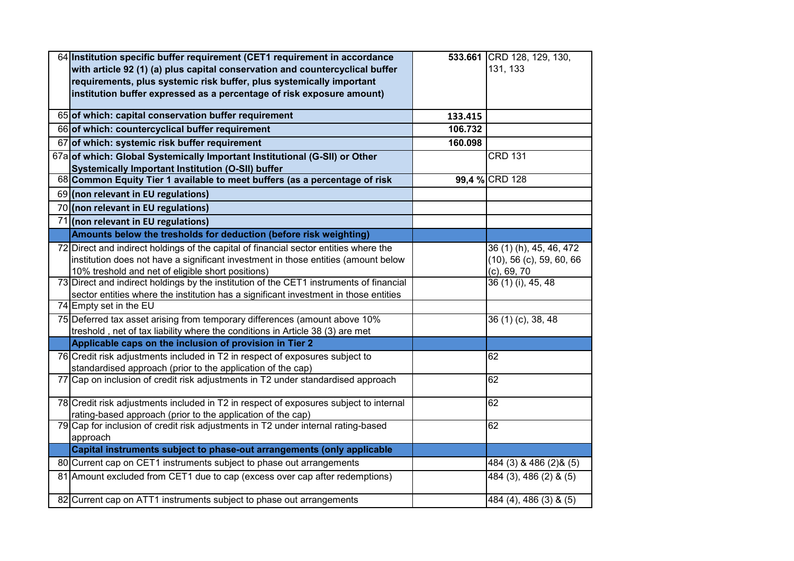| 64 Institution specific buffer requirement (CET1 requirement in accordance                                     |         | 533.661 CRD 128, 129, 130,  |
|----------------------------------------------------------------------------------------------------------------|---------|-----------------------------|
| with article 92 (1) (a) plus capital conservation and countercyclical buffer                                   |         | 131, 133                    |
| requirements, plus systemic risk buffer, plus systemically important                                           |         |                             |
| institution buffer expressed as a percentage of risk exposure amount)                                          |         |                             |
| 65 of which: capital conservation buffer requirement                                                           | 133.415 |                             |
| 66 of which: countercyclical buffer requirement                                                                | 106.732 |                             |
| 67 of which: systemic risk buffer requirement                                                                  | 160.098 |                             |
| 67a of which: Global Systemically Important Institutional (G-SII) or Other                                     |         | <b>CRD 131</b>              |
| Systemically Important Institution (O-SII) buffer                                                              |         |                             |
| 68 Common Equity Tier 1 available to meet buffers (as a percentage of risk                                     |         | 99,4 % CRD 128              |
| 69 (non relevant in EU regulations)                                                                            |         |                             |
| 70 (non relevant in EU regulations)                                                                            |         |                             |
| 71 (non relevant in EU regulations)                                                                            |         |                             |
| Amounts below the tresholds for deduction (before risk weighting)                                              |         |                             |
| 72 Direct and indirect holdings of the capital of financial sector entities where the                          |         | 36 (1) (h), 45, 46, 472     |
| institution does not have a significant investment in those entities (amount below                             |         | $(10)$ , 56 (c), 59, 60, 66 |
| 10% treshold and net of eligible short positions)                                                              |         | $(c)$ , 69, 70              |
| 73 Direct and indirect holdings by the institution of the CET1 instruments of financial                        |         | 36 (1) (i), 45, 48          |
| sector entities where the institution has a significant investment in those entities<br>74 Empty set in the EU |         |                             |
| 75 Deferred tax asset arising from temporary differences (amount above 10%                                     |         |                             |
| treshold, net of tax liability where the conditions in Article 38 (3) are met                                  |         | 36 (1) (c), 38, 48          |
| Applicable caps on the inclusion of provision in Tier 2                                                        |         |                             |
| 76 Credit risk adjustments included in T2 in respect of exposures subject to                                   |         | 62                          |
| standardised approach (prior to the application of the cap)                                                    |         |                             |
| 77 Cap on inclusion of credit risk adjustments in T2 under standardised approach                               |         | 62                          |
| 78 Credit risk adjustments included in T2 in respect of exposures subject to internal                          |         | 62                          |
| rating-based approach (prior to the application of the cap)                                                    |         |                             |
| 79 Cap for inclusion of credit risk adjustments in T2 under internal rating-based                              |         | 62                          |
| approach                                                                                                       |         |                             |
| Capital instruments subject to phase-out arrangements (only applicable                                         |         |                             |
| 80 Current cap on CET1 instruments subject to phase out arrangements                                           |         | 484 (3) & 486 (2) & (5)     |
| 81 Amount excluded from CET1 due to cap (excess over cap after redemptions)                                    |         | 484 (3), 486 (2) & (5)      |
| 82 Current cap on ATT1 instruments subject to phase out arrangements                                           |         | 484 (4), 486 (3) & (5)      |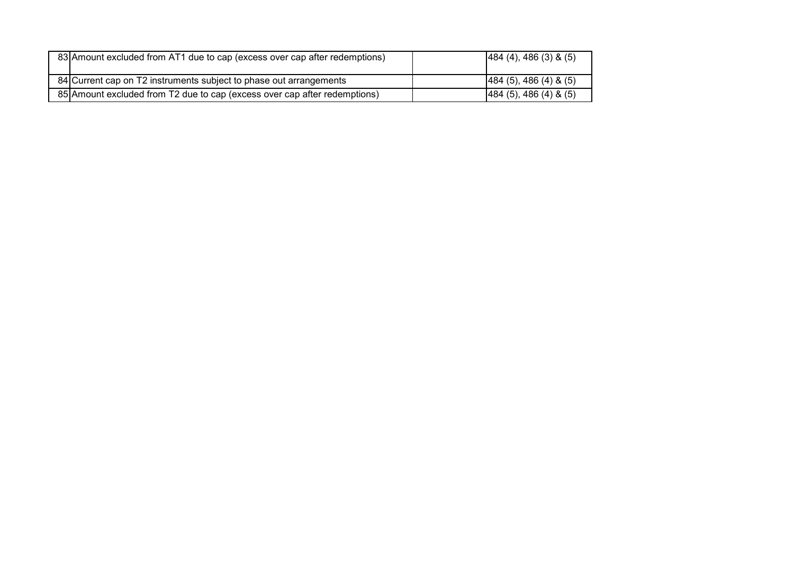| 83 Amount excluded from AT1 due to cap (excess over cap after redemptions) | [484 (4), 486 (3) 8 (5)]    |
|----------------------------------------------------------------------------|-----------------------------|
| 84 Current cap on T2 instruments subject to phase out arrangements         | $[484 (5), 486 (4) \& (5)]$ |
| 85 Amount excluded from T2 due to cap (excess over cap after redemptions)  | [484 (5), 486 (4) 8 (5)]    |